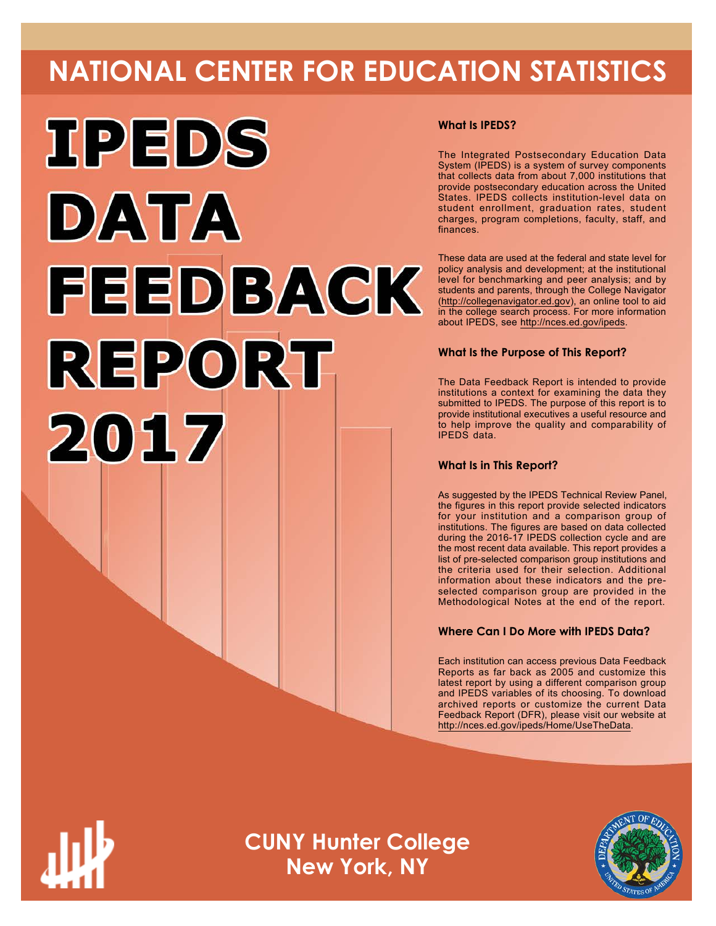# **NATIONAL CENTER FOR EDUCATION STATISTICS**



# **What Is IPEDS?**

The Integrated Postsecondary Education Data System (IPEDS) is a system of survey components that collects data from about 7,000 institutions that provide postsecondary education across the United States. IPEDS collects institution-level data on student enrollment, graduation rates, student charges, program completions, faculty, staff, and finances.

These data are used at the federal and state level for policy analysis and development; at the institutional level for benchmarking and peer analysis; and by students and parents, through the College Navigator ([http://collegenavigator.ed.gov\)](http://collegenavigator.ed.gov), an online tool to aid in the college search process. For more information about IPEDS, see [http://nces.ed.gov/ipeds.](http://nces.ed.gov/ipeds)

# **What Is the Purpose of This Report?**

The Data Feedback Report is intended to provide institutions a context for examining the data they submitted to IPEDS. The purpose of this report is to provide institutional executives a useful resource and to help improve the quality and comparability of IPEDS data.

# **What Is in This Report?**

As suggested by the IPEDS Technical Review Panel, the figures in this report provide selected indicators for your institution and a comparison group of institutions. The figures are based on data collected during the 2016-17 IPEDS collection cycle and are the most recent data available. This report provides a list of pre-selected comparison group institutions and the criteria used for their selection. Additional information about these indicators and the preselected comparison group are provided in the Methodological Notes at the end of the report.

# **Where Can I Do More with IPEDS Data?**

Each institution can access previous Data Feedback Reports as far back as 2005 and customize this latest report by using a different comparison group and IPEDS variables of its choosing. To download archived reports or customize the current Data Feedback Report (DFR), please visit our website at <http://nces.ed.gov/ipeds/Home/UseTheData>.



**CUNY Hunter College New York, NY**

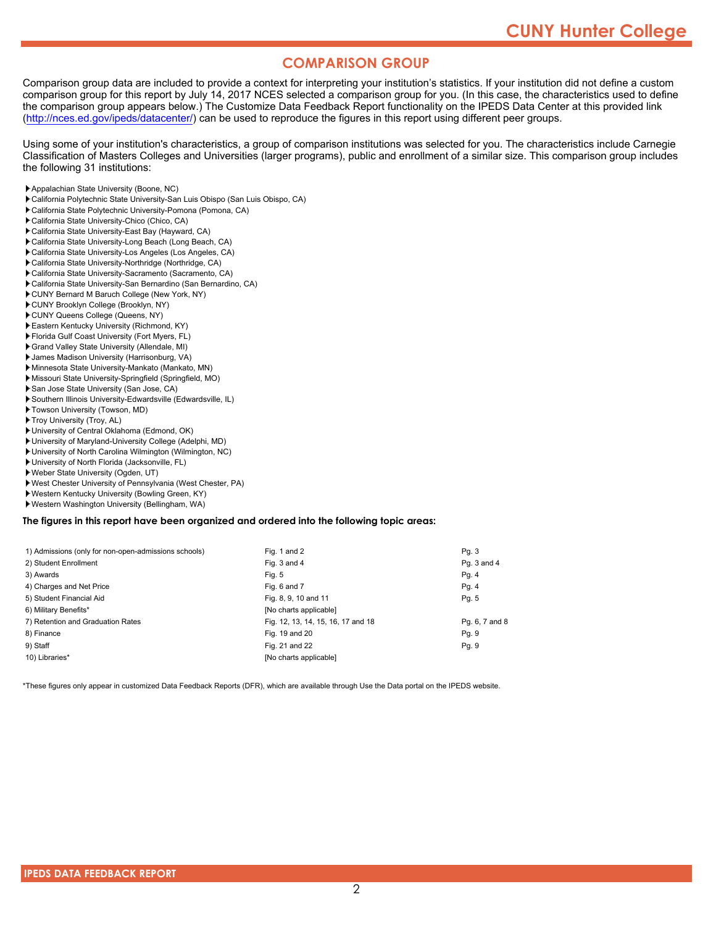# **COMPARISON GROUP**

Comparison group data are included to provide a context for interpreting your institution's statistics. If your institution did not define a custom comparison group for this report by July 14, 2017 NCES selected a comparison group for you. (In this case, the characteristics used to define the comparison group appears below.) The Customize Data Feedback Report functionality on the IPEDS Data Center at this provided link [\(http://nces.ed.gov/ipeds/datacenter/\)](http://nces.ed.gov/ipeds/datacenter/) can be used to reproduce the figures in this report using different peer groups.

Using some of your institution's characteristics, a group of comparison institutions was selected for you. The characteristics include Carnegie Classification of Masters Colleges and Universities (larger programs), public and enrollment of a similar size. This comparison group includes the following 31 institutions:

- Appalachian State University (Boone, NC)
- California Polytechnic State University-San Luis Obispo (San Luis Obispo, CA)
- California State Polytechnic University-Pomona (Pomona, CA)
- California State University-Chico (Chico, CA)
- California State University-East Bay (Hayward, CA)
- California State University-Long Beach (Long Beach, CA)
- California State University-Los Angeles (Los Angeles, CA)
- California State University-Northridge (Northridge, CA)
- California State University-Sacramento (Sacramento, CA)
- California State University-San Bernardino (San Bernardino, CA)
- CUNY Bernard M Baruch College (New York, NY)
- CUNY Brooklyn College (Brooklyn, NY) CUNY Queens College (Queens, NY)
- Eastern Kentucky University (Richmond, KY)
- Florida Gulf Coast University (Fort Myers, FL)
- Grand Valley State University (Allendale, MI)
- James Madison University (Harrisonburg, VA)
- Minnesota State University-Mankato (Mankato, MN)
- Missouri State University-Springfield (Springfield, MO)
- San Jose State University (San Jose, CA)
- Southern Illinois University-Edwardsville (Edwardsville, IL)
- Towson University (Towson, MD)
- Troy University (Troy, AL)
- University of Central Oklahoma (Edmond, OK)
- University of Maryland-University College (Adelphi, MD)
- University of North Carolina Wilmington (Wilmington, NC)
- University of North Florida (Jacksonville, FL)
- Weber State University (Ogden, UT)
- West Chester University of Pennsylvania (West Chester, PA)
- Western Kentucky University (Bowling Green, KY)
- Western Washington University (Bellingham, WA)

#### **The figures in this report have been organized and ordered into the following topic areas:**

| 1) Admissions (only for non-open-admissions schools) | Fig. 1 and 2                       | Pq. 3          |
|------------------------------------------------------|------------------------------------|----------------|
| 2) Student Enrollment                                | Fig. 3 and 4                       | Pq. 3 and 4    |
| 3) Awards                                            | Fig. 5                             | Pg. 4          |
| 4) Charges and Net Price                             | Fig. 6 and 7                       | Pg. 4          |
| 5) Student Financial Aid                             | Fig. 8, 9, 10 and 11               | Pg. 5          |
| 6) Military Benefits*                                | [No charts applicable]             |                |
| 7) Retention and Graduation Rates                    | Fig. 12, 13, 14, 15, 16, 17 and 18 | Pg. 6, 7 and 8 |
| 8) Finance                                           | Fig. 19 and 20                     | Pg. 9          |
| 9) Staff                                             | Fig. 21 and 22                     | Pq. 9          |
| 10) Libraries*                                       | [No charts applicable]             |                |

\*These figures only appear in customized Data Feedback Reports (DFR), which are available through Use the Data portal on the IPEDS website.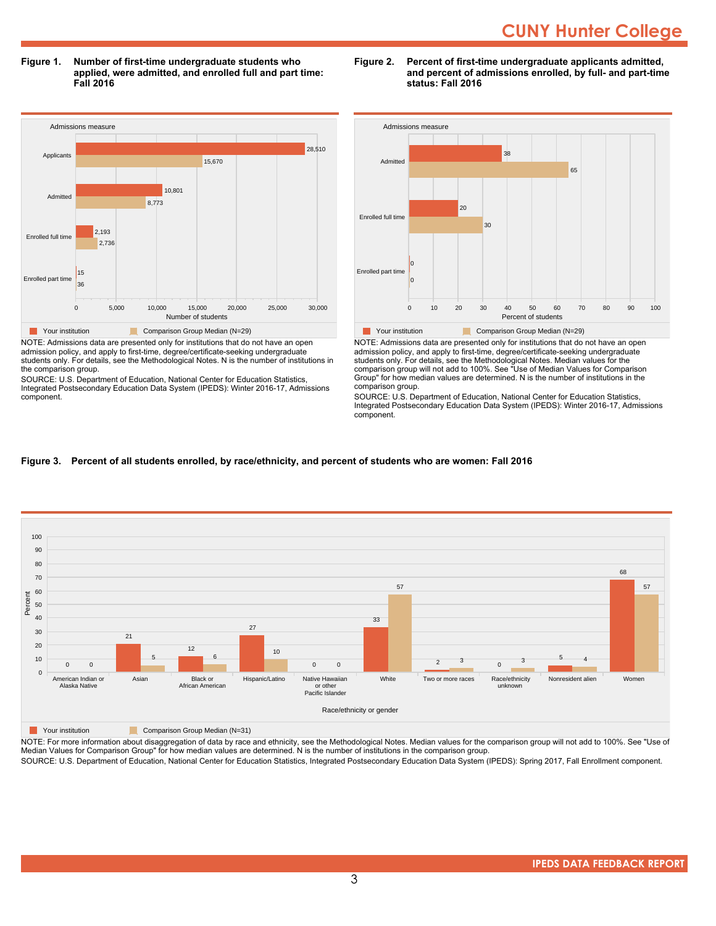**Figure 1. Number of first-time undergraduate students who applied, were admitted, and enrolled full and part time: Fall 2016**



NOTE: Admissions data are presented only for institutions that do not have an open admission policy, and apply to first-time, degree/certificate-seeking undergraduate students only. For details, see the Methodological Notes. N is the number of institutions in the comparison group.

SOURCE: U.S. Department of Education, National Center for Education Statistics, Integrated Postsecondary Education Data System (IPEDS): Winter 2016-17, Admissions component.





NOTE: Admissions data are presented only for institutions that do not have an open admission policy, and apply to first-time, degree/certificate-seeking undergraduate students only. For details, see the Methodological Notes. Median values for the comparison group will not add to 100%. See "Use of Median Values for Comparison Group" for how median values are determined. N is the number of institutions in the comparison group.

SOURCE: U.S. Department of Education, National Center for Education Statistics, Integrated Postsecondary Education Data System (IPEDS): Winter 2016-17, Admissions component.

# **Figure 3. Percent of all students enrolled, by race/ethnicity, and percent of students who are women: Fall 2016**



**The Comparison Group Median (N=31)** Comparison Group Median (N=31)

NOTE: For more information about disaggregation of data by race and ethnicity, see the Methodological Notes. Median values for the comparison group will not add to 100%. See "Use of Median Values for Comparison Group" for how median values are determined. N is the number of institutions in the comparison group.

SOURCE: U.S. Department of Education, National Center for Education Statistics, Integrated Postsecondary Education Data System (IPEDS): Spring 2017, Fall Enrollment component.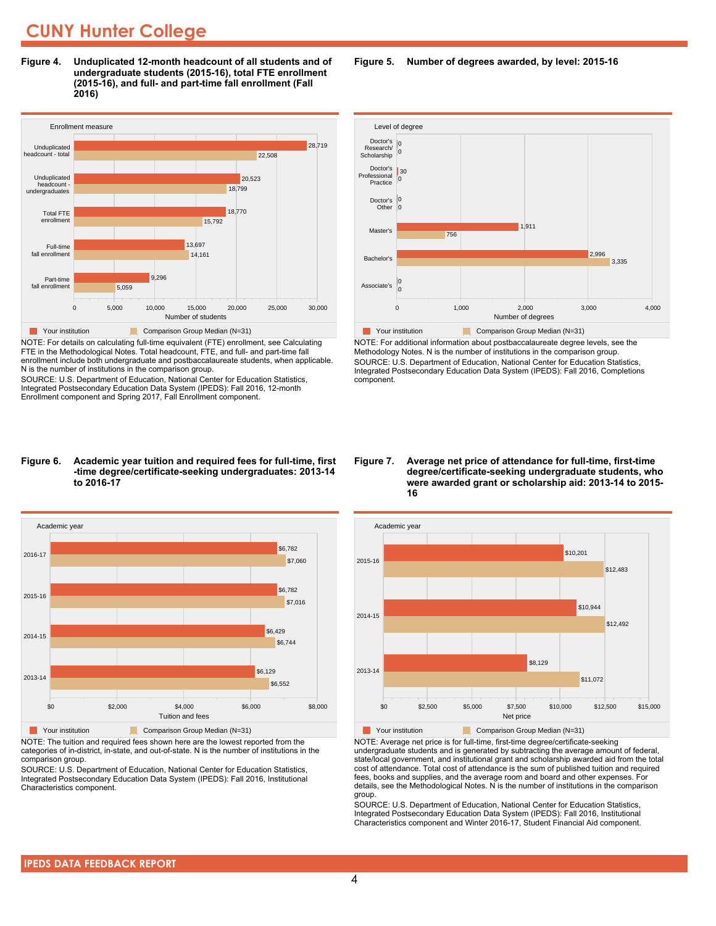**Figure 4. Unduplicated 12-month headcount of all students and of undergraduate students (2015-16), total FTE enrollment (2015-16), and full- and part-time fall enrollment (Fall 2016)**



NOTE: For details on calculating full-time equivalent (FTE) enrollment, see Calculating FTE in the Methodological Notes. Total headcount, FTE, and full- and part-time fall enrollment include both undergraduate and postbaccalaureate students, when applicable. N is the number of institutions in the comparison group.

SOURCE: U.S. Department of Education, National Center for Education Statistics, Integrated Postsecondary Education Data System (IPEDS): Fall 2016, 12-month Enrollment component and Spring 2017, Fall Enrollment component.

#### **Figure 6. Academic year tuition and required fees for full-time, first -time degree/certificate-seeking undergraduates: 2013-14 to 2016-17**



NOTE: The tuition and required fees shown here are the lowest reported from the categories of in-district, in-state, and out-of-state. N is the number of institutions in the comparison group.

SOURCE: U.S. Department of Education, National Center for Education Statistics, Integrated Postsecondary Education Data System (IPEDS): Fall 2016, Institutional Characteristics component.

**Figure 5. Number of degrees awarded, by level: 2015-16**



NOTE: For additional information about postbaccalaureate degree levels, see the Methodology Notes. N is the number of institutions in the comparison group. SOURCE: U.S. Department of Education, National Center for Education Statistics, Integrated Postsecondary Education Data System (IPEDS): Fall 2016, Completions component.

#### **Figure 7. Average net price of attendance for full-time, first-time degree/certificate-seeking undergraduate students, who were awarded grant or scholarship aid: 2013-14 to 2015- 16**



NOTE: Average net price is for full-time, first-time degree/certificate-seeking undergraduate students and is generated by subtracting the average amount of federal, state/local government, and institutional grant and scholarship awarded aid from the total cost of attendance. Total cost of attendance is the sum of published tuition and required fees, books and supplies, and the average room and board and other expenses. For details, see the Methodological Notes. N is the number of institutions in the comparison group.

SOURCE: U.S. Department of Education, National Center for Education Statistics, Integrated Postsecondary Education Data System (IPEDS): Fall 2016, Institutional Characteristics component and Winter 2016-17, Student Financial Aid component.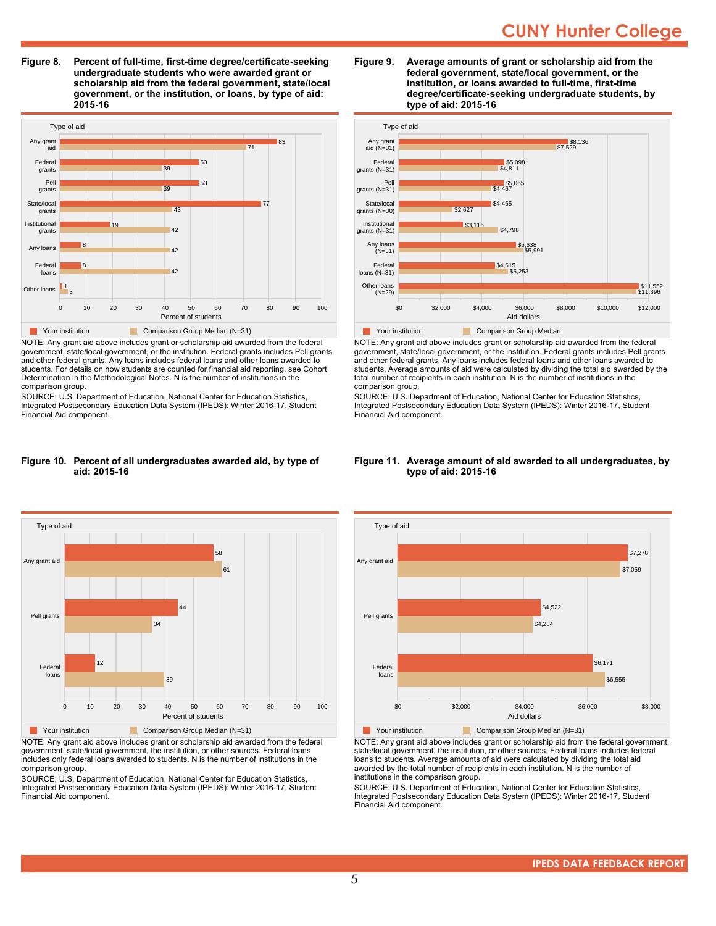**Figure 8. Percent of full-time, first-time degree/certificate-seeking undergraduate students who were awarded grant or scholarship aid from the federal government, state/local government, or the institution, or loans, by type of aid: 2015-16**



NOTE: Any grant aid above includes grant or scholarship aid awarded from the federal government, state/local government, or the institution. Federal grants includes Pell grants and other federal grants. Any loans includes federal loans and other loans awarded to students. For details on how students are counted for financial aid reporting, see Cohort Determination in the Methodological Notes. N is the number of institutions in the comparison group.

SOURCE: U.S. Department of Education, National Center for Education Statistics, Integrated Postsecondary Education Data System (IPEDS): Winter 2016-17, Student Financial Aid component.

#### **Figure 10. Percent of all undergraduates awarded aid, by type of aid: 2015-16**



NOTE: Any grant aid above includes grant or scholarship aid awarded from the federal government, state/local government, the institution, or other sources. Federal loans includes only federal loans awarded to students. N is the number of institutions in the comparison group.

SOURCE: U.S. Department of Education, National Center for Education Statistics, Integrated Postsecondary Education Data System (IPEDS): Winter 2016-17, Student Financial Aid component.





NOTE: Any grant aid above includes grant or scholarship aid awarded from the federal government, state/local government, or the institution. Federal grants includes Pell grants and other federal grants. Any loans includes federal loans and other loans awarded to students. Average amounts of aid were calculated by dividing the total aid awarded by the total number of recipients in each institution. N is the number of institutions in the comparison group.

SOURCE: U.S. Department of Education, National Center for Education Statistics, Integrated Postsecondary Education Data System (IPEDS): Winter 2016-17, Student Financial Aid component.

#### **Figure 11. Average amount of aid awarded to all undergraduates, by type of aid: 2015-16**



NOTE: Any grant aid above includes grant or scholarship aid from the federal government, state/local government, the institution, or other sources. Federal loans includes federal loans to students. Average amounts of aid were calculated by dividing the total aid awarded by the total number of recipients in each institution. N is the number of institutions in the comparison group.

SOURCE: U.S. Department of Education, National Center for Education Statistics, Integrated Postsecondary Education Data System (IPEDS): Winter 2016-17, Student Financial Aid component.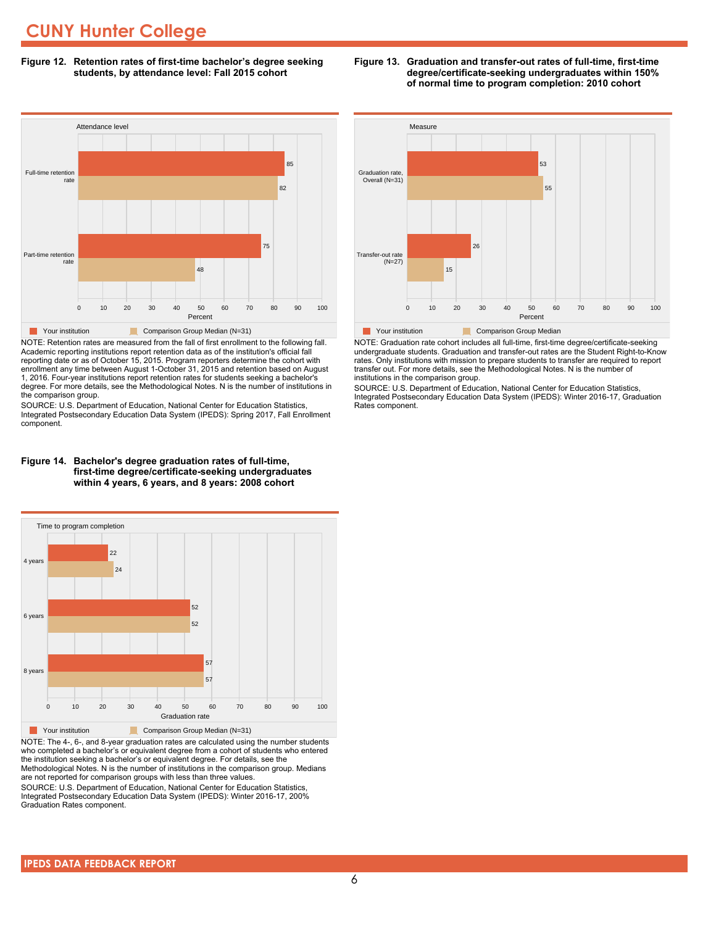**Figure 12. Retention rates of first-time bachelor's degree seeking students, by attendance level: Fall 2015 cohort**



NOTE: Retention rates are measured from the fall of first enrollment to the following fall. Academic reporting institutions report retention data as of the institution's official fall reporting date or as of October 15, 2015. Program reporters determine the cohort with enrollment any time between August 1-October 31, 2015 and retention based on August 1, 2016. Four-year institutions report retention rates for students seeking a bachelor's degree. For more details, see the Methodological Notes. N is the number of institutions in the comparison group.

SOURCE: U.S. Department of Education, National Center for Education Statistics, Integrated Postsecondary Education Data System (IPEDS): Spring 2017, Fall Enrollment component.





NOTE: The 4-, 6-, and 8-year graduation rates are calculated using the number students who completed a bachelor's or equivalent degree from a cohort of students who entered the institution seeking a bachelor's or equivalent degree. For details, see the Methodological Notes. N is the number of institutions in the comparison group. Medians are not reported for comparison groups with less than three values.

SOURCE: U.S. Department of Education, National Center for Education Statistics, Integrated Postsecondary Education Data System (IPEDS): Winter 2016-17, 200% Graduation Rates component.



NOTE: Graduation rate cohort includes all full-time, first-time degree/certificate-seeking undergraduate students. Graduation and transfer-out rates are the Student Right-to-Know rates. Only institutions with mission to prepare students to transfer are required to report transfer out. For more details, see the Methodological Notes. N is the number of institutions in the comparison group.

SOURCE: U.S. Department of Education, National Center for Education Statistics, Integrated Postsecondary Education Data System (IPEDS): Winter 2016-17, Graduation Rates component.

#### **Figure 13. Graduation and transfer-out rates of full-time, first-time degree/certificate-seeking undergraduates within 150% of normal time to program completion: 2010 cohort**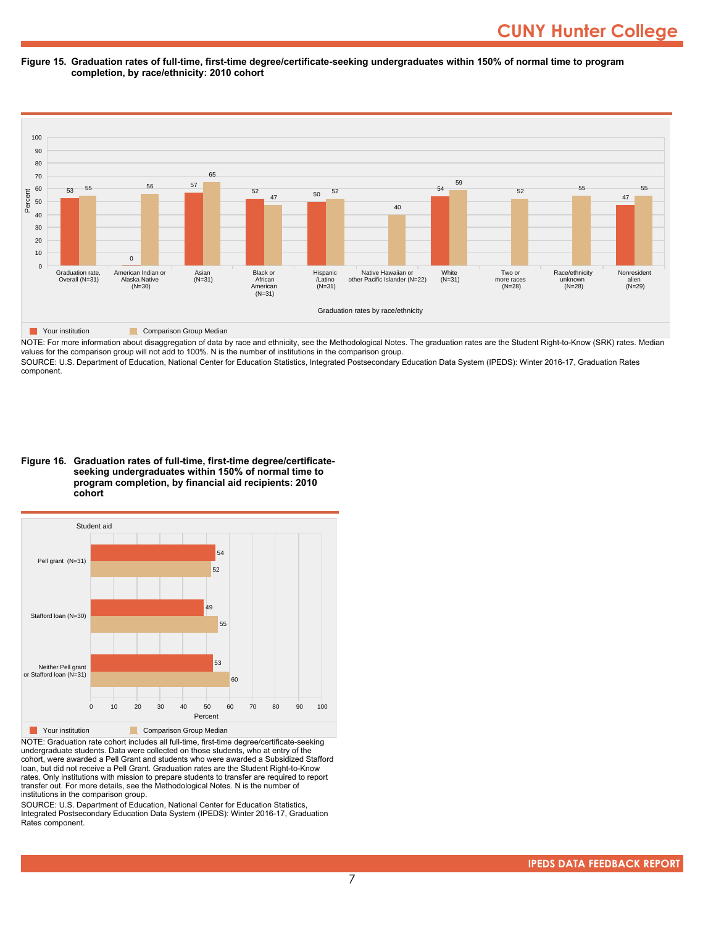#### **Figure 15. Graduation rates of full-time, first-time degree/certificate-seeking undergraduates within 150% of normal time to program completion, by race/ethnicity: 2010 cohort**



NOTE: For more information about disaggregation of data by race and ethnicity, see the Methodological Notes. The graduation rates are the Student Right-to-Know (SRK) rates. Median values for the comparison group will not add to 100%. N is the number of institutions in the comparison group.

SOURCE: U.S. Department of Education, National Center for Education Statistics, Integrated Postsecondary Education Data System (IPEDS): Winter 2016-17, Graduation Rates component.

**Figure 16. Graduation rates of full-time, first-time degree/certificateseeking undergraduates within 150% of normal time to program completion, by financial aid recipients: 2010 cohort**



NOTE: Graduation rate cohort includes all full-time, first-time degree/certificate-seeking undergraduate students. Data were collected on those students, who at entry of the cohort, were awarded a Pell Grant and students who were awarded a Subsidized Stafford loan, but did not receive a Pell Grant. Graduation rates are the Student Right-to-Know rates. Only institutions with mission to prepare students to transfer are required to report transfer out. For more details, see the Methodological Notes. N is the number of institutions in the comparison group.

SOURCE: U.S. Department of Education, National Center for Education Statistics, Integrated Postsecondary Education Data System (IPEDS): Winter 2016-17, Graduation Rates component.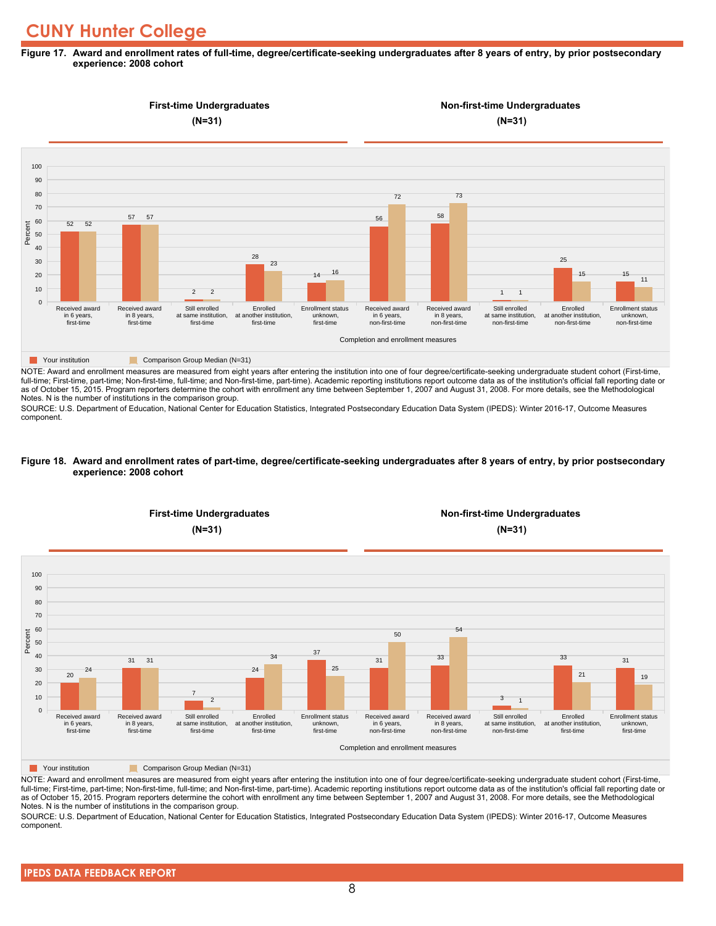#### **Figure 17. Award and enrollment rates of full-time, degree/certificate-seeking undergraduates after 8 years of entry, by prior postsecondary experience: 2008 cohort**



NOTE: Award and enrollment measures are measured from eight years after entering the institution into one of four degree/certificate-seeking undergraduate student cohort (First-time, full-time; First-time, part-time; Non-first-time, full-time; and Non-first-time, part-time). Academic reporting institutions report outcome data as of the institution's official fall reporting date or as of October 15, 2015. Program reporters determine the cohort with enrollment any time between September 1, 2007 and August 31, 2008. For more details, see the Methodological Notes. N is the number of institutions in the comparison group.

SOURCE: U.S. Department of Education, National Center for Education Statistics, Integrated Postsecondary Education Data System (IPEDS): Winter 2016-17, Outcome Measures component.

#### **Figure 18. Award and enrollment rates of part-time, degree/certificate-seeking undergraduates after 8 years of entry, by prior postsecondary experience: 2008 cohort**



NOTE: Award and enrollment measures are measured from eight years after entering the institution into one of four degree/certificate-seeking undergraduate student cohort (First-time, full-time; First-time, part-time; Non-first-time, full-time; and Non-first-time, part-time). Academic reporting institutions report outcome data as of the institution's official fall reporting date or as of October 15, 2015. Program reporters determine the cohort with enrollment any time between September 1, 2007 and August 31, 2008. For more details, see the Methodological Notes. N is the number of institutions in the comparison group.

SOURCE: U.S. Department of Education, National Center for Education Statistics, Integrated Postsecondary Education Data System (IPEDS): Winter 2016-17, Outcome Measures component.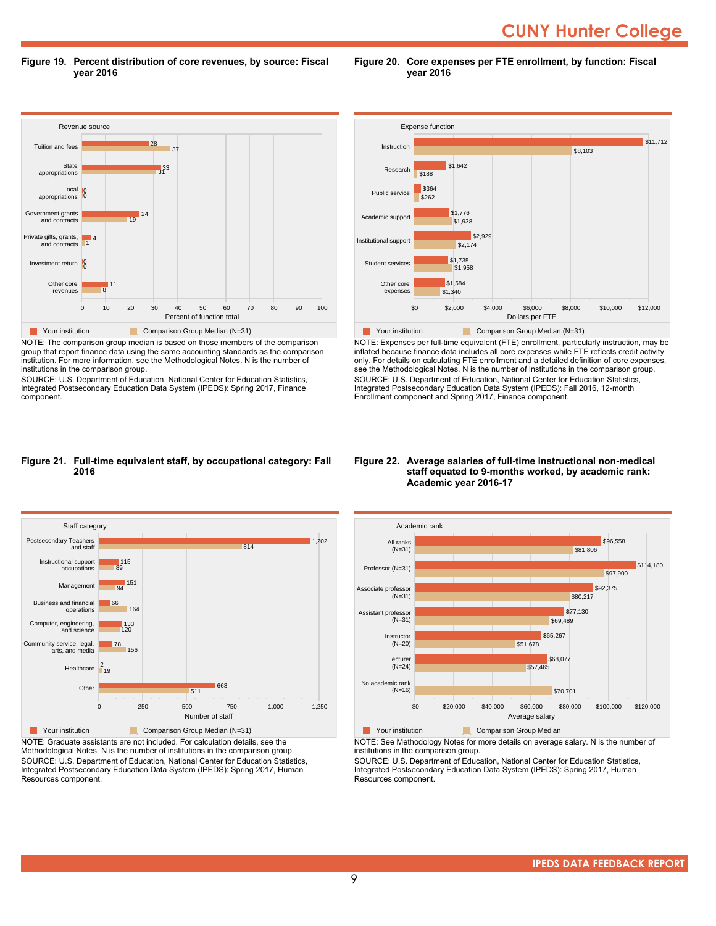**CUNY Hunter College** 

**Figure 19. Percent distribution of core revenues, by source: Fiscal year 2016**

Revenue source 0 10 20 30 40 50 60 70 80 90 100 Percent of function total Other core revenues Investment return 0 Private gifts, grants, and contracts Government grants and contracts Local appropriations State appropriations Tuition and fees 8 11 1 4 19 <sup>24</sup> 0 0  $3^{33}$ 37 28 **The Your institution Comparison Group Median (N=31)** 

NOTE: The comparison group median is based on those members of the comparison group that report finance data using the same accounting standards as the comparison institution. For more information, see the Methodological Notes. N is the number of institutions in the comparison group.

SOURCE: U.S. Department of Education, National Center for Education Statistics, Integrated Postsecondary Education Data System (IPEDS): Spring 2017, Finance component.



**Figure 20. Core expenses per FTE enrollment, by function: Fiscal**

**year 2016**

NOTE: Expenses per full-time equivalent (FTE) enrollment, particularly instruction, may be inflated because finance data includes all core expenses while FTE reflects credit activity only. For details on calculating FTE enrollment and a detailed definition of core expenses, see the Methodological Notes. N is the number of institutions in the comparison group. SOURCE: U.S. Department of Education, National Center for Education Statistics, Integrated Postsecondary Education Data System (IPEDS): Fall 2016, 12-month Enrollment component and Spring 2017, Finance component.

#### **Figure 21. Full-time equivalent staff, by occupational category: Fall 2016**



NOTE: Graduate assistants are not included. For calculation details, see the Methodological Notes. N is the number of institutions in the comparison group. SOURCE: U.S. Department of Education, National Center for Education Statistics, Integrated Postsecondary Education Data System (IPEDS): Spring 2017, Human Resources component.

#### **Figure 22. Average salaries of full-time instructional non-medical staff equated to 9-months worked, by academic rank: Academic year 2016-17**



NOTE: See Methodology Notes for more details on average salary. N is the number of

institutions in the comparison group. SOURCE: U.S. Department of Education, National Center for Education Statistics,

Integrated Postsecondary Education Data System (IPEDS): Spring 2017, Human Resources component.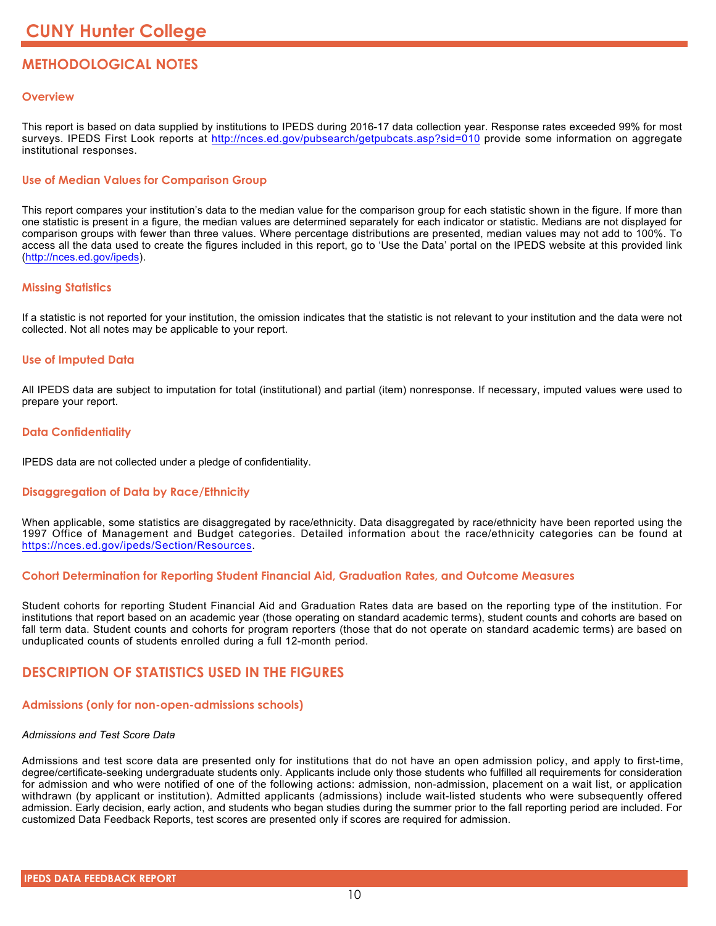# **METHODOLOGICAL NOTES**

# **Overview**

This report is based on data supplied by institutions to IPEDS during 2016-17 data collection year. Response rates exceeded 99% for most surveys. IPEDS First Look reports at <http://nces.ed.gov/pubsearch/getpubcats.asp?sid=010> provide some information on aggregate institutional responses.

# **Use of Median Values for Comparison Group**

This report compares your institution's data to the median value for the comparison group for each statistic shown in the figure. If more than one statistic is present in a figure, the median values are determined separately for each indicator or statistic. Medians are not displayed for comparison groups with fewer than three values. Where percentage distributions are presented, median values may not add to 100%. To access all the data used to create the figures included in this report, go to 'Use the Data' portal on the IPEDS website at this provided link (<http://nces.ed.gov/ipeds>).

# **Missing Statistics**

If a statistic is not reported for your institution, the omission indicates that the statistic is not relevant to your institution and the data were not collected. Not all notes may be applicable to your report.

# **Use of Imputed Data**

All IPEDS data are subject to imputation for total (institutional) and partial (item) nonresponse. If necessary, imputed values were used to prepare your report.

# **Data Confidentiality**

IPEDS data are not collected under a pledge of confidentiality.

# **Disaggregation of Data by Race/Ethnicity**

When applicable, some statistics are disaggregated by race/ethnicity. Data disaggregated by race/ethnicity have been reported using the 1997 Office of Management and Budget categories. Detailed information about the race/ethnicity categories can be found at <https://nces.ed.gov/ipeds/Section/Resources>.

# **Cohort Determination for Reporting Student Financial Aid, Graduation Rates, and Outcome Measures**

Student cohorts for reporting Student Financial Aid and Graduation Rates data are based on the reporting type of the institution. For institutions that report based on an academic year (those operating on standard academic terms), student counts and cohorts are based on fall term data. Student counts and cohorts for program reporters (those that do not operate on standard academic terms) are based on unduplicated counts of students enrolled during a full 12-month period.

# **DESCRIPTION OF STATISTICS USED IN THE FIGURES**

# **Admissions (only for non-open-admissions schools)**

#### *Admissions and Test Score Data*

Admissions and test score data are presented only for institutions that do not have an open admission policy, and apply to first-time, degree/certificate-seeking undergraduate students only. Applicants include only those students who fulfilled all requirements for consideration for admission and who were notified of one of the following actions: admission, non-admission, placement on a wait list, or application withdrawn (by applicant or institution). Admitted applicants (admissions) include wait-listed students who were subsequently offered admission. Early decision, early action, and students who began studies during the summer prior to the fall reporting period are included. For customized Data Feedback Reports, test scores are presented only if scores are required for admission.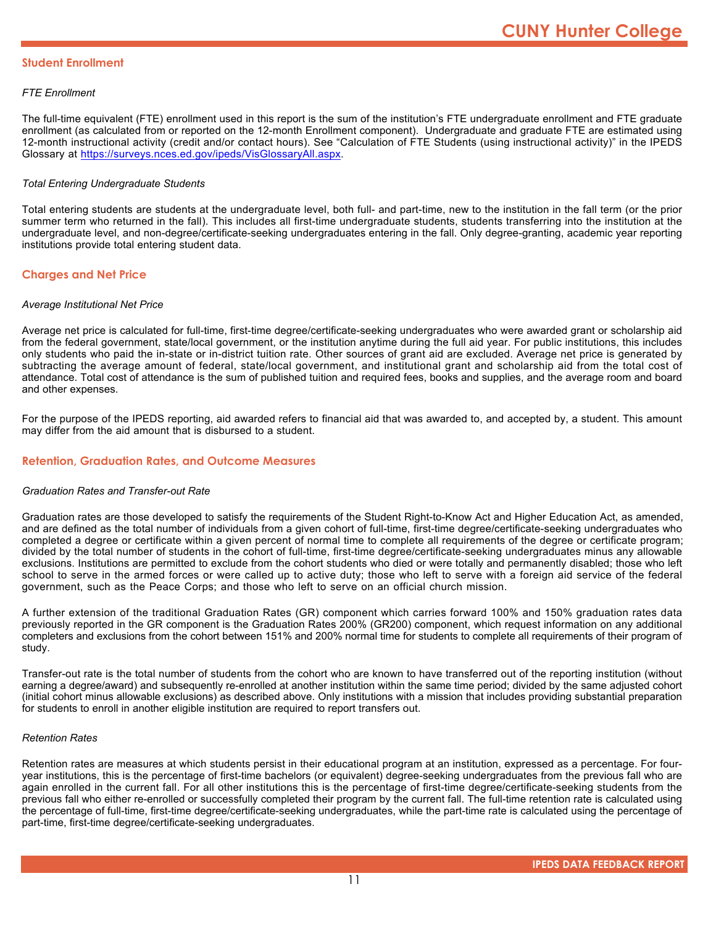### **Student Enrollment**

### *FTE Enrollment*

The full-time equivalent (FTE) enrollment used in this report is the sum of the institution's FTE undergraduate enrollment and FTE graduate enrollment (as calculated from or reported on the 12-month Enrollment component). Undergraduate and graduate FTE are estimated using 12-month instructional activity (credit and/or contact hours). See "Calculation of FTE Students (using instructional activity)" in the IPEDS Glossary at <https://surveys.nces.ed.gov/ipeds/VisGlossaryAll.aspx>.

### *Total Entering Undergraduate Students*

Total entering students are students at the undergraduate level, both full- and part-time, new to the institution in the fall term (or the prior summer term who returned in the fall). This includes all first-time undergraduate students, students transferring into the institution at the undergraduate level, and non-degree/certificate-seeking undergraduates entering in the fall. Only degree-granting, academic year reporting institutions provide total entering student data.

# **Charges and Net Price**

#### *Average Institutional Net Price*

Average net price is calculated for full-time, first-time degree/certificate-seeking undergraduates who were awarded grant or scholarship aid from the federal government, state/local government, or the institution anytime during the full aid year. For public institutions, this includes only students who paid the in-state or in-district tuition rate. Other sources of grant aid are excluded. Average net price is generated by subtracting the average amount of federal, state/local government, and institutional grant and scholarship aid from the total cost of attendance. Total cost of attendance is the sum of published tuition and required fees, books and supplies, and the average room and board and other expenses.

For the purpose of the IPEDS reporting, aid awarded refers to financial aid that was awarded to, and accepted by, a student. This amount may differ from the aid amount that is disbursed to a student.

### **Retention, Graduation Rates, and Outcome Measures**

#### *Graduation Rates and Transfer-out Rate*

Graduation rates are those developed to satisfy the requirements of the Student Right-to-Know Act and Higher Education Act, as amended, and are defined as the total number of individuals from a given cohort of full-time, first-time degree/certificate-seeking undergraduates who completed a degree or certificate within a given percent of normal time to complete all requirements of the degree or certificate program; divided by the total number of students in the cohort of full-time, first-time degree/certificate-seeking undergraduates minus any allowable exclusions. Institutions are permitted to exclude from the cohort students who died or were totally and permanently disabled; those who left school to serve in the armed forces or were called up to active duty; those who left to serve with a foreign aid service of the federal government, such as the Peace Corps; and those who left to serve on an official church mission.

A further extension of the traditional Graduation Rates (GR) component which carries forward 100% and 150% graduation rates data previously reported in the GR component is the Graduation Rates 200% (GR200) component, which request information on any additional completers and exclusions from the cohort between 151% and 200% normal time for students to complete all requirements of their program of study.

Transfer-out rate is the total number of students from the cohort who are known to have transferred out of the reporting institution (without earning a degree/award) and subsequently re-enrolled at another institution within the same time period; divided by the same adjusted cohort (initial cohort minus allowable exclusions) as described above. Only institutions with a mission that includes providing substantial preparation for students to enroll in another eligible institution are required to report transfers out.

#### *Retention Rates*

Retention rates are measures at which students persist in their educational program at an institution, expressed as a percentage. For fouryear institutions, this is the percentage of first-time bachelors (or equivalent) degree-seeking undergraduates from the previous fall who are again enrolled in the current fall. For all other institutions this is the percentage of first-time degree/certificate-seeking students from the previous fall who either re-enrolled or successfully completed their program by the current fall. The full-time retention rate is calculated using the percentage of full-time, first-time degree/certificate-seeking undergraduates, while the part-time rate is calculated using the percentage of part-time, first-time degree/certificate-seeking undergraduates.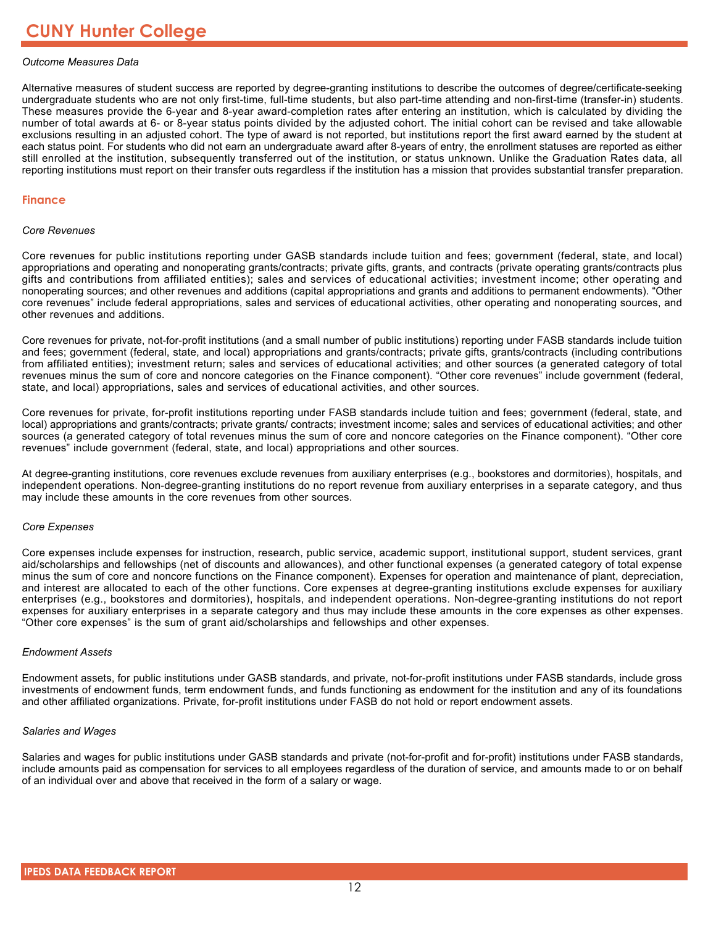### *Outcome Measures Data*

Alternative measures of student success are reported by degree-granting institutions to describe the outcomes of degree/certificate-seeking undergraduate students who are not only first-time, full-time students, but also part-time attending and non-first-time (transfer-in) students. These measures provide the 6-year and 8-year award-completion rates after entering an institution, which is calculated by dividing the number of total awards at 6- or 8-year status points divided by the adjusted cohort. The initial cohort can be revised and take allowable exclusions resulting in an adjusted cohort. The type of award is not reported, but institutions report the first award earned by the student at each status point. For students who did not earn an undergraduate award after 8-years of entry, the enrollment statuses are reported as either still enrolled at the institution, subsequently transferred out of the institution, or status unknown. Unlike the Graduation Rates data, all reporting institutions must report on their transfer outs regardless if the institution has a mission that provides substantial transfer preparation.

#### **Finance**

#### *Core Revenues*

Core revenues for public institutions reporting under GASB standards include tuition and fees; government (federal, state, and local) appropriations and operating and nonoperating grants/contracts; private gifts, grants, and contracts (private operating grants/contracts plus gifts and contributions from affiliated entities); sales and services of educational activities; investment income; other operating and nonoperating sources; and other revenues and additions (capital appropriations and grants and additions to permanent endowments). "Other core revenues" include federal appropriations, sales and services of educational activities, other operating and nonoperating sources, and other revenues and additions.

Core revenues for private, not-for-profit institutions (and a small number of public institutions) reporting under FASB standards include tuition and fees; government (federal, state, and local) appropriations and grants/contracts; private gifts, grants/contracts (including contributions from affiliated entities); investment return; sales and services of educational activities; and other sources (a generated category of total revenues minus the sum of core and noncore categories on the Finance component). "Other core revenues" include government (federal, state, and local) appropriations, sales and services of educational activities, and other sources.

Core revenues for private, for-profit institutions reporting under FASB standards include tuition and fees; government (federal, state, and local) appropriations and grants/contracts; private grants/ contracts; investment income; sales and services of educational activities; and other sources (a generated category of total revenues minus the sum of core and noncore categories on the Finance component). "Other core revenues" include government (federal, state, and local) appropriations and other sources.

At degree-granting institutions, core revenues exclude revenues from auxiliary enterprises (e.g., bookstores and dormitories), hospitals, and independent operations. Non-degree-granting institutions do no report revenue from auxiliary enterprises in a separate category, and thus may include these amounts in the core revenues from other sources.

#### *Core Expenses*

Core expenses include expenses for instruction, research, public service, academic support, institutional support, student services, grant aid/scholarships and fellowships (net of discounts and allowances), and other functional expenses (a generated category of total expense minus the sum of core and noncore functions on the Finance component). Expenses for operation and maintenance of plant, depreciation, and interest are allocated to each of the other functions. Core expenses at degree-granting institutions exclude expenses for auxiliary enterprises (e.g., bookstores and dormitories), hospitals, and independent operations. Non-degree-granting institutions do not report expenses for auxiliary enterprises in a separate category and thus may include these amounts in the core expenses as other expenses. "Other core expenses" is the sum of grant aid/scholarships and fellowships and other expenses.

#### *Endowment Assets*

Endowment assets, for public institutions under GASB standards, and private, not-for-profit institutions under FASB standards, include gross investments of endowment funds, term endowment funds, and funds functioning as endowment for the institution and any of its foundations and other affiliated organizations. Private, for-profit institutions under FASB do not hold or report endowment assets.

#### *Salaries and Wages*

Salaries and wages for public institutions under GASB standards and private (not-for-profit and for-profit) institutions under FASB standards, include amounts paid as compensation for services to all employees regardless of the duration of service, and amounts made to or on behalf of an individual over and above that received in the form of a salary or wage.